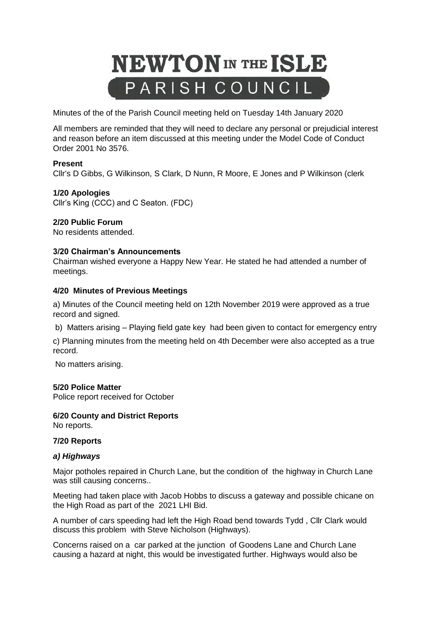

Minutes of the of the Parish Council meeting held on Tuesday 14th January 2020

All members are reminded that they will need to declare any personal or prejudicial interest and reason before an item discussed at this meeting under the Model Code of Conduct Order 2001 No 3576.

## **Present**

Cllr's D Gibbs, G Wilkinson, S Clark, D Nunn, R Moore, E Jones and P Wilkinson (clerk

### **1/20 Apologies**

Cllr's King (CCC) and C Seaton. (FDC)

### **2/20 Public Forum**

No residents attended.

### **3/20 Chairman's Announcements**

Chairman wished everyone a Happy New Year. He stated he had attended a number of meetings.

### **4/20 Minutes of Previous Meetings**

a) Minutes of the Council meeting held on 12th November 2019 were approved as a true record and signed.

b) Matters arising – Playing field gate key had been given to contact for emergency entry

c) Planning minutes from the meeting held on 4th December were also accepted as a true record.

No matters arising.

#### **5/20 Police Matter**

Police report received for October

## **6/20 County and District Reports**

No reports.

#### **7/20 Reports**

#### *a) Highways*

Major potholes repaired in Church Lane, but the condition of the highway in Church Lane was still causing concerns..

Meeting had taken place with Jacob Hobbs to discuss a gateway and possible chicane on the High Road as part of the 2021 LHI Bid.

A number of cars speeding had left the High Road bend towards Tydd , Cllr Clark would discuss this problem with Steve Nicholson (Highways).

Concerns raised on a car parked at the junction of Goodens Lane and Church Lane causing a hazard at night, this would be investigated further. Highways would also be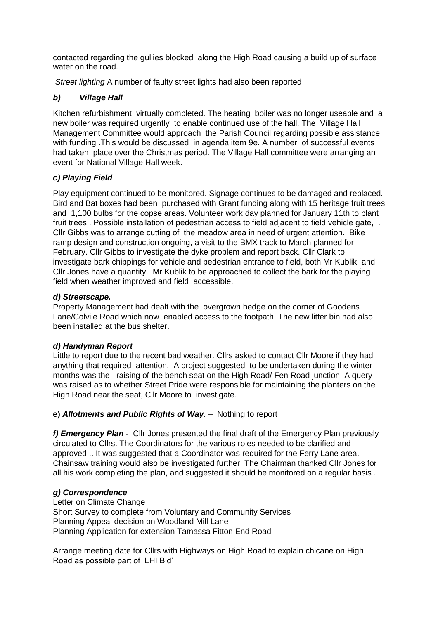contacted regarding the gullies blocked along the High Road causing a build up of surface water on the road.

*Street lighting* A number of faulty street lights had also been reported

# *b) Village Hall*

Kitchen refurbishment virtually completed. The heating boiler was no longer useable and a new boiler was required urgently to enable continued use of the hall. The Village Hall Management Committee would approach the Parish Council regarding possible assistance with funding .This would be discussed in agenda item 9e. A number of successful events had taken place over the Christmas period. The Village Hall committee were arranging an event for National Village Hall week.

## *c) Playing Field*

Play equipment continued to be monitored. Signage continues to be damaged and replaced. Bird and Bat boxes had been purchased with Grant funding along with 15 heritage fruit trees and 1,100 bulbs for the copse areas. Volunteer work day planned for January 11th to plant fruit trees . Possible installation of pedestrian access to field adjacent to field vehicle gate, . Cllr Gibbs was to arrange cutting of the meadow area in need of urgent attention. Bike ramp design and construction ongoing, a visit to the BMX track to March planned for February. Cllr Gibbs to investigate the dyke problem and report back. Cllr Clark to investigate bark chippings for vehicle and pedestrian entrance to field, both Mr Kublik and Cllr Jones have a quantity. Mr Kublik to be approached to collect the bark for the playing field when weather improved and field accessible.

## *d) Streetscape.*

Property Management had dealt with the overgrown hedge on the corner of Goodens Lane/Colvile Road which now enabled access to the footpath. The new litter bin had also been installed at the bus shelter.

# *d) Handyman Report*

Little to report due to the recent bad weather. Cllrs asked to contact Cllr Moore if they had anything that required attention. A project suggested to be undertaken during the winter months was the raising of the bench seat on the High Road/ Fen Road junction. A query was raised as to whether Street Pride were responsible for maintaining the planters on the High Road near the seat, Cllr Moore to investigate.

# **e)** *Allotments and Public Rights of Way.* – Nothing to report

*f) Emergency Plan* - Cllr Jones presented the final draft of the Emergency Plan previously circulated to Cllrs. The Coordinators for the various roles needed to be clarified and approved .. It was suggested that a Coordinator was required for the Ferry Lane area. Chainsaw training would also be investigated further The Chairman thanked Cllr Jones for all his work completing the plan, and suggested it should be monitored on a regular basis .

## *g) Correspondence*

Letter on Climate Change Short Survey to complete from Voluntary and Community Services Planning Appeal decision on Woodland Mill Lane Planning Application for extension Tamassa Fitton End Road

Arrange meeting date for Cllrs with Highways on High Road to explain chicane on High Road as possible part of LHI Bid'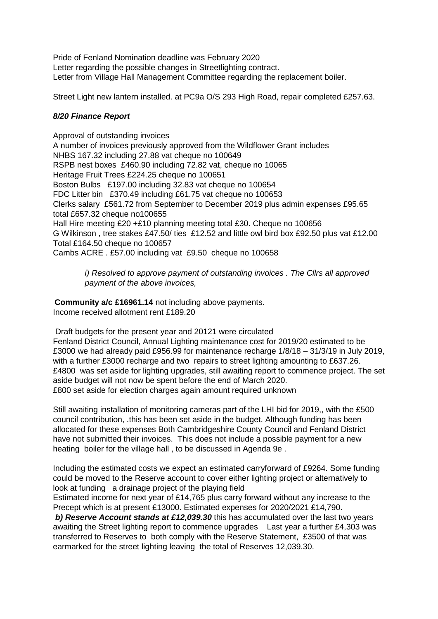Pride of Fenland Nomination deadline was February 2020 Letter regarding the possible changes in Streetlighting contract. Letter from Village Hall Management Committee regarding the replacement boiler.

Street Light new lantern installed. at PC9a O/S 293 High Road, repair completed £257.63.

## *8/20 Finance Report*

Approval of outstanding invoices A number of invoices previously approved from the Wildflower Grant includes NHBS 167.32 including 27.88 vat cheque no 100649 RSPB nest boxes £460.90 including 72.82 vat, cheque no 10065 Heritage Fruit Trees £224.25 cheque no 100651 Boston Bulbs £197.00 including 32.83 vat cheque no 100654 FDC Litter bin £370.49 including £61.75 vat cheque no 100653 Clerks salary £561.72 from September to December 2019 plus admin expenses £95.65 total £657.32 cheque no100655 Hall Hire meeting £20 +£10 planning meeting total £30. Cheque no 100656 G Wilkinson , tree stakes £47.50/ ties £12.52 and little owl bird box £92.50 plus vat £12.00 Total £164.50 cheque no 100657 Cambs ACRE . £57.00 including vat £9.50 cheque no 100658

 *i) Resolved to approve payment of outstanding invoices . The Cllrs all approved payment of the above invoices,*

**Community a/c £16961.14** not including above payments. Income received allotment rent £189.20

Draft budgets for the present year and 20121 were circulated Fenland District Council, Annual Lighting maintenance cost for 2019/20 estimated to be £3000 we had already paid £956.99 for maintenance recharge 1/8/18 – 31/3/19 in July 2019, with a further £3000 recharge and two repairs to street lighting amounting to £637.26. £4800 was set aside for lighting upgrades, still awaiting report to commence project. The set aside budget will not now be spent before the end of March 2020. £800 set aside for election charges again amount required unknown

Still awaiting installation of monitoring cameras part of the LHI bid for 2019,, with the £500 council contribution, .this has been set aside in the budget. Although funding has been allocated for these expenses Both Cambridgeshire County Council and Fenland District have not submitted their invoices. This does not include a possible payment for a new heating boiler for the village hall , to be discussed in Agenda 9e .

Including the estimated costs we expect an estimated carryforward of £9264. Some funding could be moved to the Reserve account to cover either lighting project or alternatively to look at funding a drainage project of the playing field

Estimated income for next year of £14,765 plus carry forward without any increase to the Precept which is at present £13000. Estimated expenses for 2020/2021 £14,790.

*b) Reserve Account stands at £12,039.30* this has accumulated over the last two years awaiting the Street lighting report to commence upgrades Last year a further £4,303 was transferred to Reserves to both comply with the Reserve Statement, £3500 of that was earmarked for the street lighting leaving the total of Reserves 12,039.30.